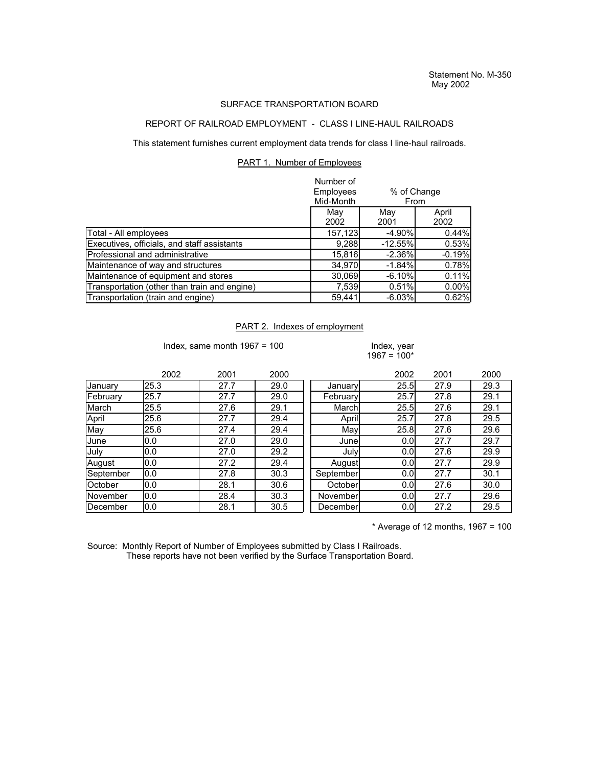## SURFACE TRANSPORTATION BOARD

## REPORT OF RAILROAD EMPLOYMENT - CLASS I LINE-HAUL RAILROADS

This statement furnishes current employment data trends for class I line-haul railroads.

## PART 1. Number of Employees

|                                              | Number of<br>Employees<br>Mid-Month | % of Change<br>From |               |  |
|----------------------------------------------|-------------------------------------|---------------------|---------------|--|
|                                              | May<br>2002                         | May<br>2001         | April<br>2002 |  |
| Total - All employees                        | 157,123                             | $-4.90\%$           | 0.44%         |  |
| Executives, officials, and staff assistants  | 9,288                               | $-12.55%$           | 0.53%         |  |
| Professional and administrative              | 15,816                              | $-2.36%$            | $-0.19%$      |  |
| Maintenance of way and structures            | 34,970                              | $-1.84%$            | 0.78%         |  |
| Maintenance of equipment and stores          | 30,069                              | $-6.10%$            | 0.11%         |  |
| Transportation (other than train and engine) | 7,539                               | 0.51%               | 0.00%         |  |
| Transportation (train and engine)            | 59,441                              | $-6.03%$            | 0.62%         |  |

## PART 2. Indexes of employment

Index, same month  $1967 = 100$  Index, year

 $1967 = 100*$ 

|           | 2002 | 2001 | 2000 |           | 2002 | 2001 | 2000 |
|-----------|------|------|------|-----------|------|------|------|
| January   | 25.3 | 27.7 | 29.0 | January   | 25.5 | 27.9 | 29.3 |
| February  | 25.7 | 27.7 | 29.0 | February  | 25.7 | 27.8 | 29.1 |
| March     | 25.5 | 27.6 | 29.1 | Marchl    | 25.5 | 27.6 | 29.1 |
| April     | 25.6 | 27.7 | 29.4 | April     | 25.7 | 27.8 | 29.5 |
| May       | 25.6 | 27.4 | 29.4 | May       | 25.8 | 27.6 | 29.6 |
| June      | 0.0  | 27.0 | 29.0 | Junel     | 0.0  | 27.7 | 29.7 |
| July      | 0.0  | 27.0 | 29.2 | July      | 0.0  | 27.6 | 29.9 |
| August    | 0.0  | 27.2 | 29.4 | August    | 0.0  | 27.7 | 29.9 |
| September | 0.0  | 27.8 | 30.3 | September | 0.0  | 27.7 | 30.1 |
| October   | 0.0  | 28.1 | 30.6 | October   | 0.0  | 27.6 | 30.0 |
| November  | 0.0  | 28.4 | 30.3 | November  | 0.0  | 27.7 | 29.6 |
| December  | 0.0  | 28.1 | 30.5 | December  | 0.0  | 27.2 | 29.5 |

 $*$  Average of 12 months, 1967 = 100

Source: Monthly Report of Number of Employees submitted by Class I Railroads. These reports have not been verified by the Surface Transportation Board.